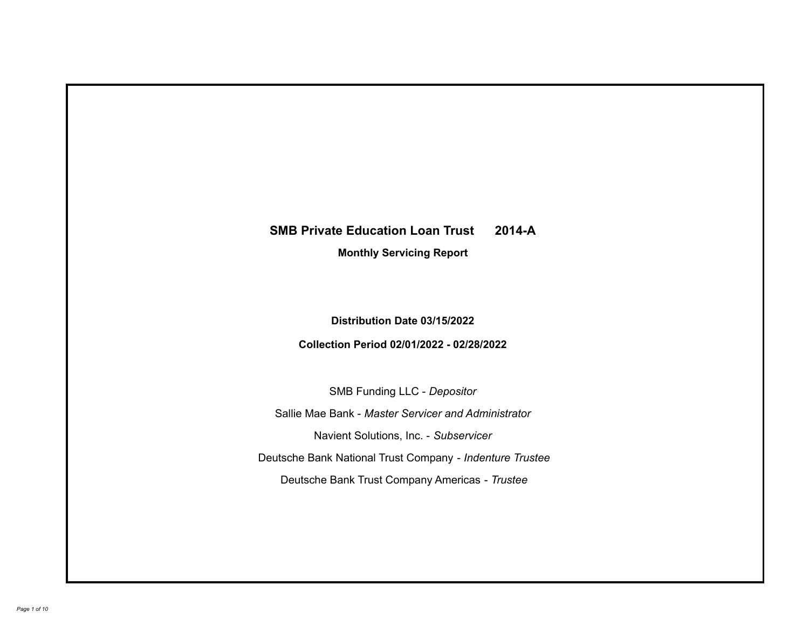# **SMB Private Education Loan Trust 2014-A**

**Monthly Servicing Report**

**Distribution Date 03/15/2022**

**Collection Period 02/01/2022 - 02/28/2022**

SMB Funding LLC - *Depositor*

Sallie Mae Bank - *Master Servicer and Administrator*

Navient Solutions, Inc. - *Subservicer*

Deutsche Bank National Trust Company - *Indenture Trustee*

Deutsche Bank Trust Company Americas - *Trustee*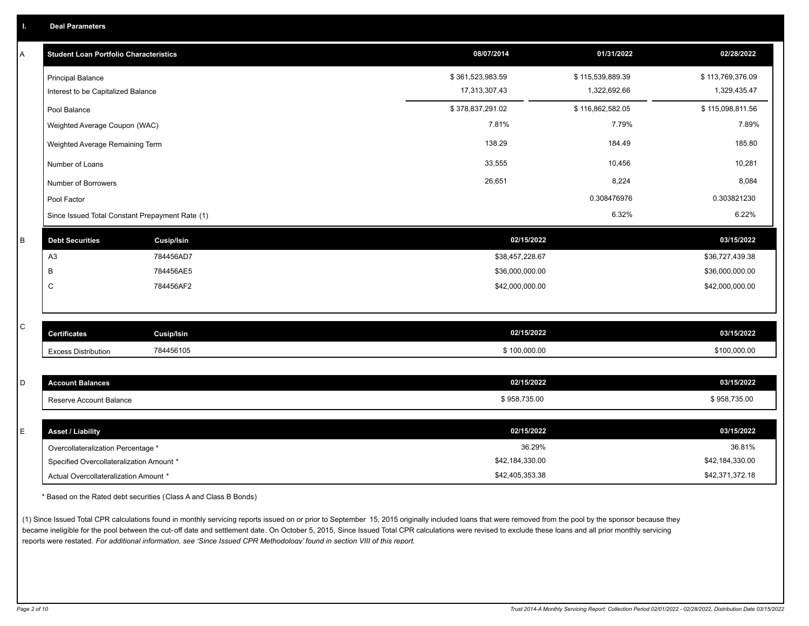| Α | <b>Student Loan Portfolio Characteristics</b>                  |                   | 08/07/2014                        | 01/31/2022                       | 02/28/2022                       |
|---|----------------------------------------------------------------|-------------------|-----------------------------------|----------------------------------|----------------------------------|
|   | <b>Principal Balance</b><br>Interest to be Capitalized Balance |                   | \$361,523,983.59<br>17,313,307.43 | \$115,539,889.39<br>1,322,692.66 | \$113,769,376.09<br>1,329,435.47 |
|   |                                                                |                   |                                   |                                  |                                  |
|   | Pool Balance                                                   |                   | \$378,837,291.02                  | \$116,862,582.05                 | \$115,098,811.56                 |
|   | Weighted Average Coupon (WAC)                                  |                   | 7.81%                             | 7.79%                            | 7.89%                            |
|   | Weighted Average Remaining Term                                |                   | 138.29                            | 184.49                           | 185.80                           |
|   | Number of Loans                                                |                   | 33,555                            | 10,456                           | 10,281                           |
|   | Number of Borrowers                                            |                   | 26,651                            | 8,224                            | 8,084                            |
|   | Pool Factor                                                    |                   |                                   | 0.308476976                      | 0.303821230                      |
|   | Since Issued Total Constant Prepayment Rate (1)                |                   |                                   | 6.32%                            | 6.22%                            |
| B | <b>Debt Securities</b>                                         | Cusip/Isin        | 02/15/2022                        |                                  | 03/15/2022                       |
|   | A <sub>3</sub>                                                 | 784456AD7         | \$38,457,228.67                   |                                  | \$36,727,439.38                  |
|   | B                                                              | 784456AE5         | \$36,000,000.00                   |                                  | \$36,000,000.00                  |
|   | C                                                              | 784456AF2         | \$42,000,000.00                   |                                  | \$42,000,000.00                  |
|   |                                                                |                   |                                   |                                  |                                  |
| C | <b>Certificates</b>                                            | <b>Cusip/Isin</b> | 02/15/2022                        |                                  | 03/15/2022                       |
|   | <b>Excess Distribution</b>                                     | 784456105         | \$100,000.00                      |                                  | \$100,000.00                     |
|   |                                                                |                   |                                   |                                  |                                  |
| D | <b>Account Balances</b>                                        |                   | 02/15/2022                        |                                  | 03/15/2022                       |
|   | Reserve Account Balance                                        |                   | \$958,735.00                      |                                  | \$958,735.00                     |
|   |                                                                |                   |                                   |                                  |                                  |
| E | <b>Asset / Liability</b>                                       |                   | 02/15/2022                        |                                  | 03/15/2022                       |
|   | Overcollateralization Percentage *                             |                   | 36.29%                            |                                  | 36.81%                           |
|   | Specified Overcollateralization Amount *                       |                   | \$42,184,330.00                   |                                  | \$42,184,330.00                  |

\* Based on the Rated debt securities (Class A and Class B Bonds)

(1) Since Issued Total CPR calculations found in monthly servicing reports issued on or prior to September 15, 2015 originally included loans that were removed from the pool by the sponsor because they became ineligible for the pool between the cut-off date and settlement date. On October 5, 2015, Since Issued Total CPR calculations were revised to exclude these loans and all prior monthly servicing reports were restated. *For additional information, see 'Since Issued CPR Methodology' found in section VIII of this report.*

Actual Overcollateralization Amount \* \$42,405,353.38

\$42,371,372.18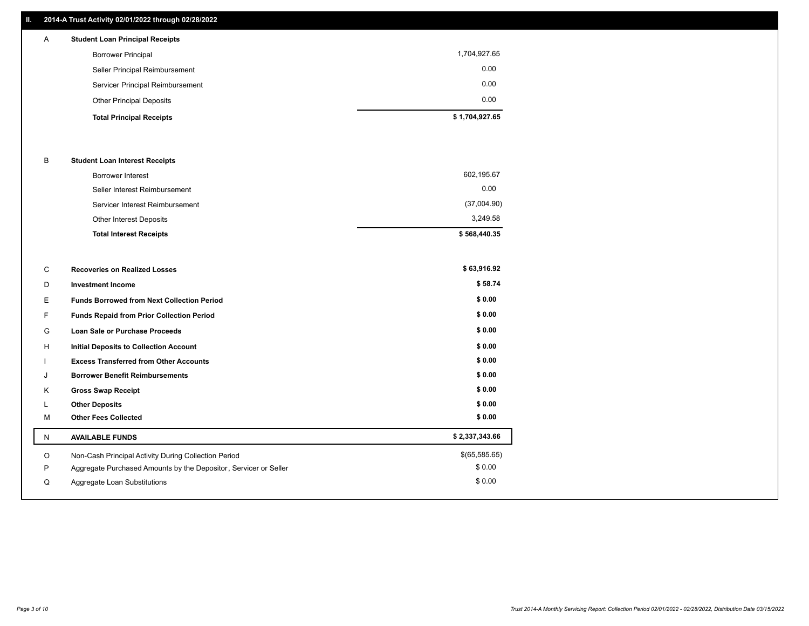### **II. 2014-A Trust Activity 02/01/2022 through 02/28/2022**

| $\mathsf{A}$ | <b>Student Loan Principal Receipts</b> |                |
|--------------|----------------------------------------|----------------|
|              | <b>Borrower Principal</b>              | 1,704,927.65   |
|              | Seller Principal Reimbursement         | 0.00           |
|              | Servicer Principal Reimbursement       | 0.00           |
|              | <b>Other Principal Deposits</b>        | 0.00           |
|              | <b>Total Principal Receipts</b>        | \$1,704,927.65 |

### B **Student Loan Interest Receipts**

| <b>Total Interest Receipts</b>  | \$568,440.35 |
|---------------------------------|--------------|
| Other Interest Deposits         | 3,249.58     |
| Servicer Interest Reimbursement | (37,004.90)  |
| Seller Interest Reimbursement   | 0.00         |
| Borrower Interest               | 602,195.67   |

| С  | <b>Recoveries on Realized Losses</b>                             | \$63,916.92    |
|----|------------------------------------------------------------------|----------------|
| D  | <b>Investment Income</b>                                         | \$58.74        |
| E  | <b>Funds Borrowed from Next Collection Period</b>                | \$0.00         |
| F. | Funds Repaid from Prior Collection Period                        | \$0.00         |
| G  | <b>Loan Sale or Purchase Proceeds</b>                            | \$0.00         |
| H  | <b>Initial Deposits to Collection Account</b>                    | \$0.00         |
|    | <b>Excess Transferred from Other Accounts</b>                    | \$0.00         |
| J  | <b>Borrower Benefit Reimbursements</b>                           | \$0.00         |
| Κ  | <b>Gross Swap Receipt</b>                                        | \$0.00         |
| L  | <b>Other Deposits</b>                                            | \$0.00         |
| M  | <b>Other Fees Collected</b>                                      | \$0.00         |
| N  | <b>AVAILABLE FUNDS</b>                                           | \$2,337,343.66 |
| O  | Non-Cash Principal Activity During Collection Period             | \$(65,585.65)  |
| P  | Aggregate Purchased Amounts by the Depositor, Servicer or Seller | \$0.00         |
| Q  | Aggregate Loan Substitutions                                     | \$0.00         |
|    |                                                                  |                |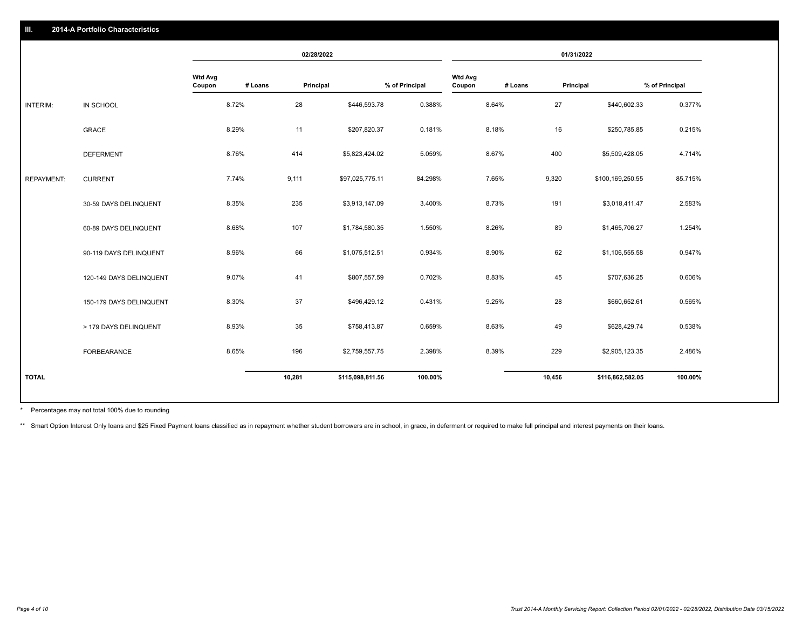|                   |                         | 02/28/2022               |         |           | 01/31/2022       |                |                          |         |           |                  |                |
|-------------------|-------------------------|--------------------------|---------|-----------|------------------|----------------|--------------------------|---------|-----------|------------------|----------------|
|                   |                         | <b>Wtd Avg</b><br>Coupon | # Loans | Principal |                  | % of Principal | <b>Wtd Avg</b><br>Coupon | # Loans | Principal |                  | % of Principal |
| INTERIM:          | IN SCHOOL               |                          | 8.72%   | 28        | \$446,593.78     | 0.388%         |                          | 8.64%   | 27        | \$440,602.33     | 0.377%         |
|                   | GRACE                   |                          | 8.29%   | 11        | \$207,820.37     | 0.181%         |                          | 8.18%   | 16        | \$250,785.85     | 0.215%         |
|                   | <b>DEFERMENT</b>        |                          | 8.76%   | 414       | \$5,823,424.02   | 5.059%         |                          | 8.67%   | 400       | \$5,509,428.05   | 4.714%         |
| <b>REPAYMENT:</b> | <b>CURRENT</b>          |                          | 7.74%   | 9,111     | \$97,025,775.11  | 84.298%        |                          | 7.65%   | 9,320     | \$100,169,250.55 | 85.715%        |
|                   | 30-59 DAYS DELINQUENT   |                          | 8.35%   | 235       | \$3,913,147.09   | 3.400%         |                          | 8.73%   | 191       | \$3,018,411.47   | 2.583%         |
|                   | 60-89 DAYS DELINQUENT   |                          | 8.68%   | 107       | \$1,784,580.35   | 1.550%         |                          | 8.26%   | 89        | \$1,465,706.27   | 1.254%         |
|                   | 90-119 DAYS DELINQUENT  |                          | 8.96%   | 66        | \$1,075,512.51   | 0.934%         |                          | 8.90%   | 62        | \$1,106,555.58   | 0.947%         |
|                   | 120-149 DAYS DELINQUENT |                          | 9.07%   | 41        | \$807,557.59     | 0.702%         |                          | 8.83%   | 45        | \$707,636.25     | 0.606%         |
|                   | 150-179 DAYS DELINQUENT |                          | 8.30%   | 37        | \$496,429.12     | 0.431%         |                          | 9.25%   | 28        | \$660,652.61     | 0.565%         |
|                   | > 179 DAYS DELINQUENT   |                          | 8.93%   | 35        | \$758,413.87     | 0.659%         |                          | 8.63%   | 49        | \$628,429.74     | 0.538%         |
|                   | FORBEARANCE             |                          | 8.65%   | 196       | \$2,759,557.75   | 2.398%         |                          | 8.39%   | 229       | \$2,905,123.35   | 2.486%         |
| <b>TOTAL</b>      |                         |                          |         | 10,281    | \$115,098,811.56 | 100.00%        |                          |         | 10,456    | \$116,862,582.05 | 100.00%        |

Percentages may not total 100% due to rounding \*

\*\* Smart Option Interest Only loans and \$25 Fixed Payment loans classified as in repayment whether student borrowers are in school, in grace, in deferment or required to make full principal and interest payments on their l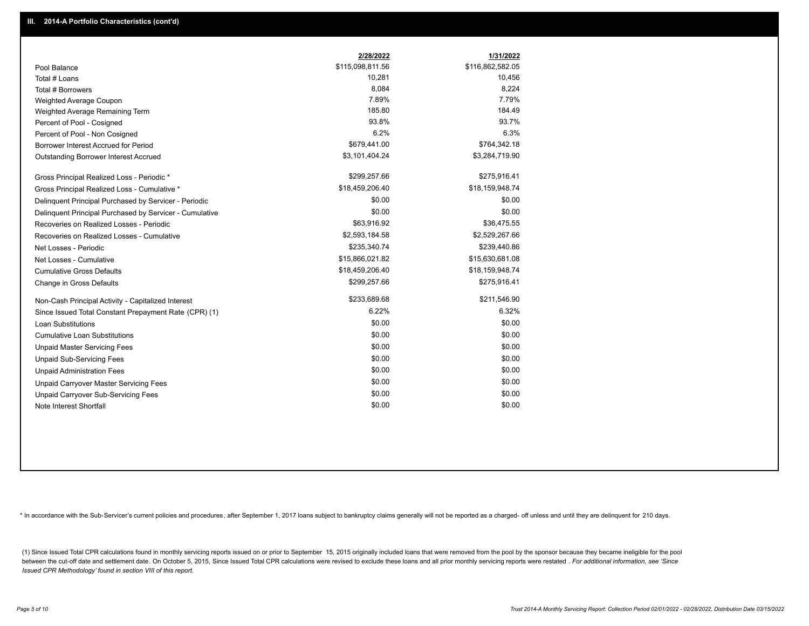|                                                         | 2/28/2022        | 1/31/2022        |
|---------------------------------------------------------|------------------|------------------|
| Pool Balance                                            | \$115,098,811.56 | \$116,862,582.05 |
| Total # Loans                                           | 10,281           | 10,456           |
| Total # Borrowers                                       | 8,084            | 8,224            |
| Weighted Average Coupon                                 | 7.89%            | 7.79%            |
| Weighted Average Remaining Term                         | 185.80           | 184.49           |
| Percent of Pool - Cosigned                              | 93.8%            | 93.7%            |
| Percent of Pool - Non Cosigned                          | 6.2%             | 6.3%             |
| Borrower Interest Accrued for Period                    | \$679,441.00     | \$764,342.18     |
| Outstanding Borrower Interest Accrued                   | \$3,101,404.24   | \$3,284,719.90   |
| Gross Principal Realized Loss - Periodic *              | \$299,257.66     | \$275,916.41     |
| Gross Principal Realized Loss - Cumulative *            | \$18,459,206.40  | \$18,159,948.74  |
| Delinquent Principal Purchased by Servicer - Periodic   | \$0.00           | \$0.00           |
| Delinquent Principal Purchased by Servicer - Cumulative | \$0.00           | \$0.00           |
| Recoveries on Realized Losses - Periodic                | \$63,916.92      | \$36,475.55      |
| Recoveries on Realized Losses - Cumulative              | \$2,593,184.58   | \$2,529,267.66   |
| Net Losses - Periodic                                   | \$235,340.74     | \$239,440.86     |
| Net Losses - Cumulative                                 | \$15,866,021.82  | \$15,630,681.08  |
| <b>Cumulative Gross Defaults</b>                        | \$18,459,206.40  | \$18,159,948.74  |
| Change in Gross Defaults                                | \$299,257.66     | \$275,916.41     |
| Non-Cash Principal Activity - Capitalized Interest      | \$233,689.68     | \$211,546.90     |
| Since Issued Total Constant Prepayment Rate (CPR) (1)   | 6.22%            | 6.32%            |
| <b>Loan Substitutions</b>                               | \$0.00           | \$0.00           |
| <b>Cumulative Loan Substitutions</b>                    | \$0.00           | \$0.00           |
| <b>Unpaid Master Servicing Fees</b>                     | \$0.00           | \$0.00           |
| <b>Unpaid Sub-Servicing Fees</b>                        | \$0.00           | \$0.00           |
| <b>Unpaid Administration Fees</b>                       | \$0.00           | \$0.00           |
| <b>Unpaid Carryover Master Servicing Fees</b>           | \$0.00           | \$0.00           |
| Unpaid Carryover Sub-Servicing Fees                     | \$0.00           | \$0.00           |
| Note Interest Shortfall                                 | \$0.00           | \$0.00           |

\* In accordance with the Sub-Servicer's current policies and procedures, after September 1, 2017 loans subject to bankruptcy claims generally will not be reported as a charged- off unless and until they are delinquent for

(1) Since Issued Total CPR calculations found in monthly servicing reports issued on or prior to September 15, 2015 originally included loans that were removed from the pool by the sponsor because they became ineligible fo between the cut-off date and settlement date. On October 5, 2015, Since Issued Total CPR calculations were revised to exclude these loans and all prior monthly servicing reports were restated . For additional information, *Issued CPR Methodology' found in section VIII of this report.*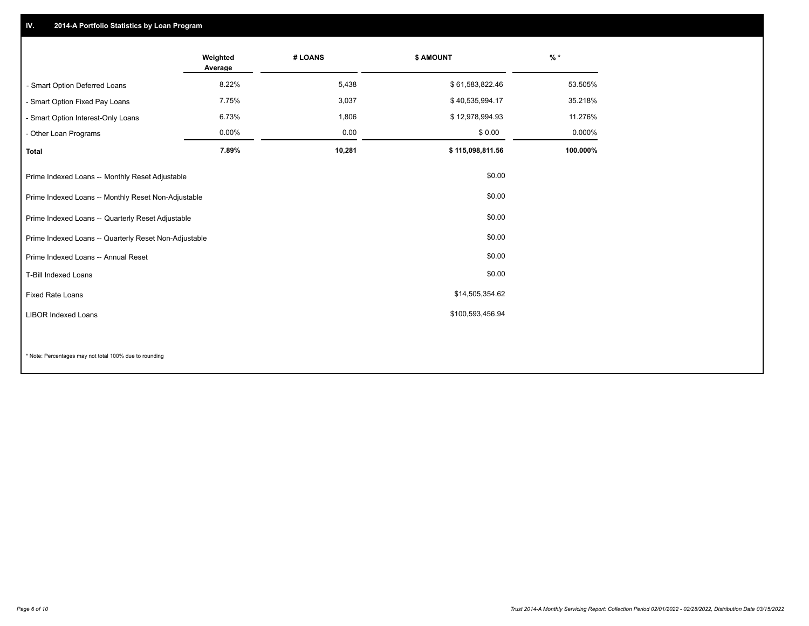## **IV. 2014-A Portfolio Statistics by Loan Program**

|                                                       | Weighted<br>Average | # LOANS | \$ AMOUNT        | $%$ *    |
|-------------------------------------------------------|---------------------|---------|------------------|----------|
| - Smart Option Deferred Loans                         | 8.22%               | 5,438   | \$61,583,822.46  | 53.505%  |
| - Smart Option Fixed Pay Loans                        | 7.75%               | 3,037   | \$40,535,994.17  | 35.218%  |
| - Smart Option Interest-Only Loans                    | 6.73%               | 1,806   | \$12,978,994.93  | 11.276%  |
| - Other Loan Programs                                 | $0.00\%$            | 0.00    | \$0.00           | 0.000%   |
| <b>Total</b>                                          | 7.89%               | 10,281  | \$115,098,811.56 | 100.000% |
| Prime Indexed Loans -- Monthly Reset Adjustable       |                     |         | \$0.00           |          |
| Prime Indexed Loans -- Monthly Reset Non-Adjustable   |                     |         | \$0.00           |          |
| Prime Indexed Loans -- Quarterly Reset Adjustable     |                     |         | \$0.00           |          |
| Prime Indexed Loans -- Quarterly Reset Non-Adjustable |                     |         | \$0.00           |          |
| Prime Indexed Loans -- Annual Reset                   |                     |         | \$0.00           |          |
| <b>T-Bill Indexed Loans</b>                           |                     |         | \$0.00           |          |
| <b>Fixed Rate Loans</b>                               |                     |         | \$14,505,354.62  |          |
| <b>LIBOR Indexed Loans</b>                            |                     |         | \$100,593,456.94 |          |
|                                                       |                     |         |                  |          |

\* Note: Percentages may not total 100% due to rounding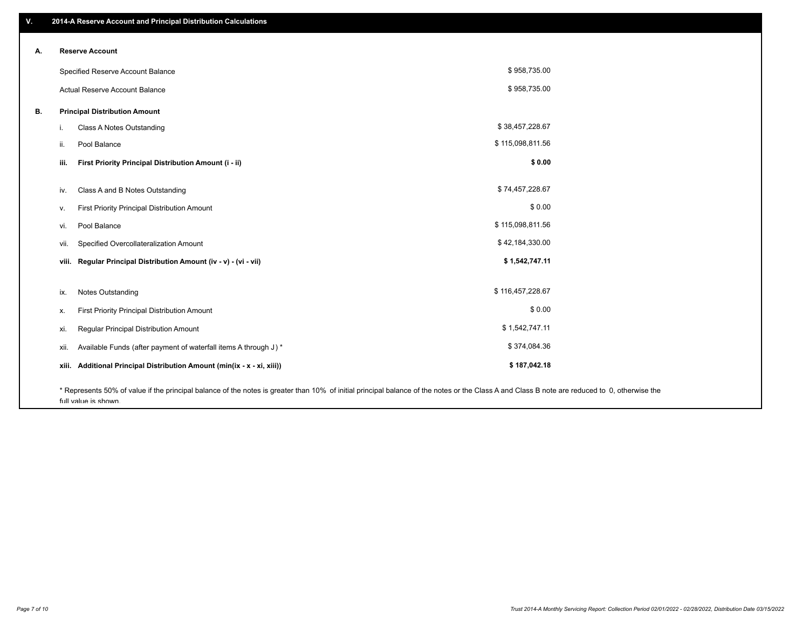| V. | 2014-A Reserve Account and Principal Distribution Calculations                                                                                                                                |                  |  |
|----|-----------------------------------------------------------------------------------------------------------------------------------------------------------------------------------------------|------------------|--|
|    | <b>Reserve Account</b>                                                                                                                                                                        |                  |  |
| А. |                                                                                                                                                                                               |                  |  |
|    | Specified Reserve Account Balance                                                                                                                                                             | \$958,735.00     |  |
|    | Actual Reserve Account Balance                                                                                                                                                                | \$958,735.00     |  |
| В. | <b>Principal Distribution Amount</b>                                                                                                                                                          |                  |  |
|    | Class A Notes Outstanding<br>i.                                                                                                                                                               | \$38,457,228.67  |  |
|    | Pool Balance<br>ii.                                                                                                                                                                           | \$115,098,811.56 |  |
|    | First Priority Principal Distribution Amount (i - ii)<br>iii.                                                                                                                                 | \$0.00           |  |
|    | Class A and B Notes Outstanding<br>iv.                                                                                                                                                        | \$74,457,228.67  |  |
|    | First Priority Principal Distribution Amount<br>v.                                                                                                                                            | \$0.00           |  |
|    | Pool Balance<br>vi.                                                                                                                                                                           | \$115,098,811.56 |  |
|    | Specified Overcollateralization Amount<br>vii.                                                                                                                                                | \$42,184,330.00  |  |
|    | Regular Principal Distribution Amount (iv - v) - (vi - vii)<br>viii.                                                                                                                          | \$1,542,747.11   |  |
|    | <b>Notes Outstanding</b><br>ix.                                                                                                                                                               | \$116,457,228.67 |  |
|    |                                                                                                                                                                                               | \$0.00           |  |
|    | First Priority Principal Distribution Amount<br>х.                                                                                                                                            |                  |  |
|    | Regular Principal Distribution Amount<br>xi.                                                                                                                                                  | \$1,542,747.11   |  |
|    | Available Funds (after payment of waterfall items A through J) *<br>xii.                                                                                                                      | \$374,084.36     |  |
|    | Additional Principal Distribution Amount (min(ix - x - xi, xiii))<br>xiii.                                                                                                                    | \$187,042.18     |  |
|    | * Represents 50% of value if the principal balance of the notes is greater than 10% of initial principal balance of the notes or the Class A and Class B note are reduced to 0, otherwise the |                  |  |

full value is shown.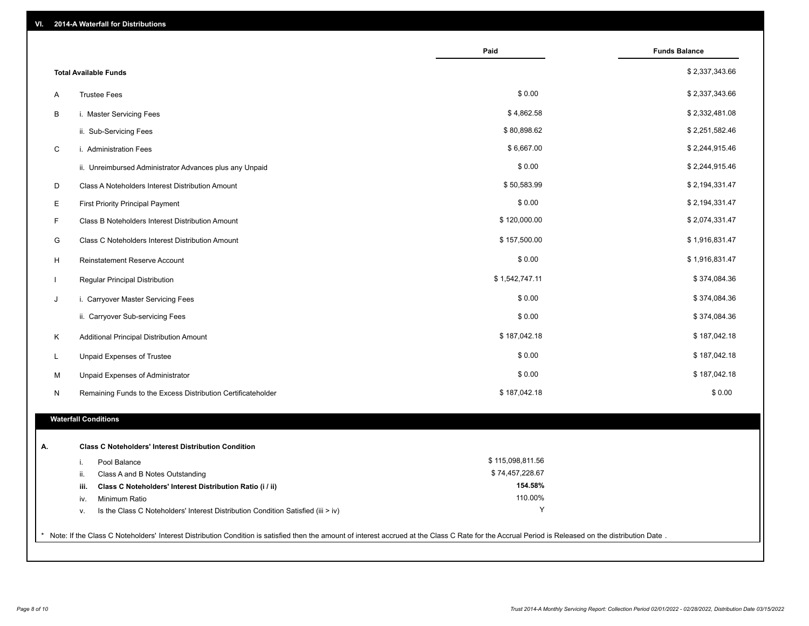| VI. | 2014-A Waterfall for Distributions                                                                                                                                                                    |                    |                      |
|-----|-------------------------------------------------------------------------------------------------------------------------------------------------------------------------------------------------------|--------------------|----------------------|
|     |                                                                                                                                                                                                       | Paid               | <b>Funds Balance</b> |
|     | <b>Total Available Funds</b>                                                                                                                                                                          |                    | \$2,337,343.66       |
| A   | <b>Trustee Fees</b>                                                                                                                                                                                   | \$0.00             | \$2,337,343.66       |
| В   | i. Master Servicing Fees                                                                                                                                                                              | \$4,862.58         | \$2,332,481.08       |
|     | ii. Sub-Servicing Fees                                                                                                                                                                                | \$80,898.62        | \$2,251,582.46       |
| C   | i. Administration Fees                                                                                                                                                                                | \$6,667.00         | \$2,244,915.46       |
|     | ii. Unreimbursed Administrator Advances plus any Unpaid                                                                                                                                               | \$0.00             | \$2,244,915.46       |
| D   | Class A Noteholders Interest Distribution Amount                                                                                                                                                      | \$50,583.99        | \$2,194,331.47       |
| E   | <b>First Priority Principal Payment</b>                                                                                                                                                               | \$0.00             | \$2,194,331.47       |
| F   | Class B Noteholders Interest Distribution Amount                                                                                                                                                      | \$120,000.00       | \$2,074,331.47       |
| G   | <b>Class C Noteholders Interest Distribution Amount</b>                                                                                                                                               | \$157,500.00       | \$1,916,831.47       |
| H   | <b>Reinstatement Reserve Account</b>                                                                                                                                                                  | \$0.00             | \$1,916,831.47       |
|     | Regular Principal Distribution                                                                                                                                                                        | \$1,542,747.11     | \$374,084.36         |
| J   | i. Carryover Master Servicing Fees                                                                                                                                                                    | \$0.00             | \$374,084.36         |
|     | ii. Carryover Sub-servicing Fees                                                                                                                                                                      | \$0.00             | \$374,084.36         |
| Κ   | Additional Principal Distribution Amount                                                                                                                                                              | \$187,042.18       | \$187,042.18         |
| L   | Unpaid Expenses of Trustee                                                                                                                                                                            | \$0.00             | \$187,042.18         |
| М   | Unpaid Expenses of Administrator                                                                                                                                                                      | \$0.00             | \$187,042.18         |
| N   | Remaining Funds to the Excess Distribution Certificateholder                                                                                                                                          | \$187,042.18       | \$0.00               |
|     | <b>Waterfall Conditions</b>                                                                                                                                                                           |                    |                      |
|     |                                                                                                                                                                                                       |                    |                      |
| А.  | <b>Class C Noteholders' Interest Distribution Condition</b>                                                                                                                                           |                    |                      |
|     | Pool Balance<br>j.                                                                                                                                                                                    | \$115,098,811.56   |                      |
|     | Class A and B Notes Outstanding<br>ii.                                                                                                                                                                | \$74,457,228.67    |                      |
|     | Class C Noteholders' Interest Distribution Ratio (i / ii)<br>iii.                                                                                                                                     | 154.58%<br>110.00% |                      |
|     | Minimum Ratio<br>iv.<br>Is the Class C Noteholders' Interest Distribution Condition Satisfied (iii > iv)<br>V.                                                                                        | Y                  |                      |
|     |                                                                                                                                                                                                       |                    |                      |
|     | * Note: If the Class C Noteholders' Interest Distribution Condition is satisfied then the amount of interest accrued at the Class C Rate for the Accrual Period is Released on the distribution Date. |                    |                      |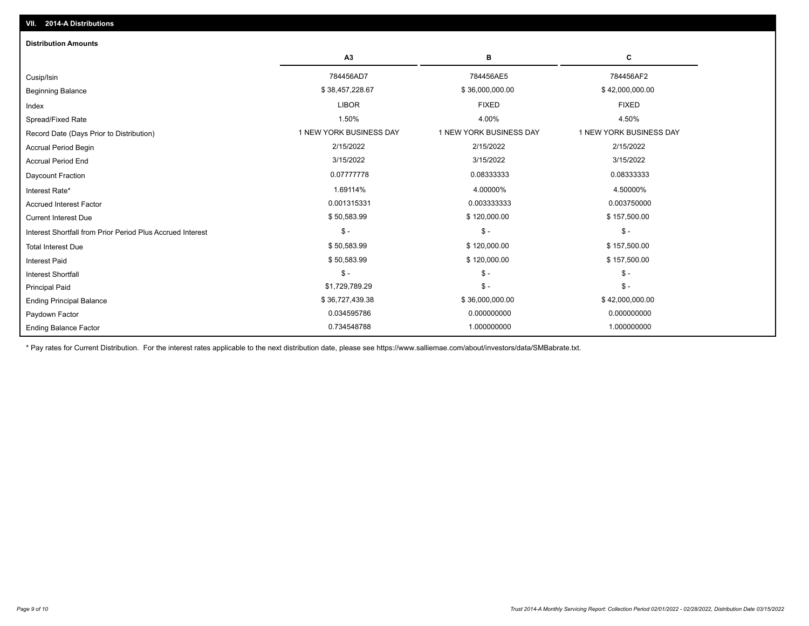| <b>Distribution Amounts</b>                                |                         |                         |                         |
|------------------------------------------------------------|-------------------------|-------------------------|-------------------------|
|                                                            | A3                      | в                       | c                       |
| Cusip/Isin                                                 | 784456AD7               | 784456AE5               | 784456AF2               |
| <b>Beginning Balance</b>                                   | \$38,457,228.67         | \$36,000,000.00         | \$42,000,000.00         |
| Index                                                      | <b>LIBOR</b>            | <b>FIXED</b>            | <b>FIXED</b>            |
| Spread/Fixed Rate                                          | 1.50%                   | 4.00%                   | 4.50%                   |
| Record Date (Days Prior to Distribution)                   | 1 NEW YORK BUSINESS DAY | 1 NEW YORK BUSINESS DAY | 1 NEW YORK BUSINESS DAY |
| <b>Accrual Period Begin</b>                                | 2/15/2022               | 2/15/2022               | 2/15/2022               |
| <b>Accrual Period End</b>                                  | 3/15/2022               | 3/15/2022               | 3/15/2022               |
| Daycount Fraction                                          | 0.07777778              | 0.08333333              | 0.08333333              |
| Interest Rate*                                             | 1.69114%                | 4.00000%                | 4.50000%                |
| <b>Accrued Interest Factor</b>                             | 0.001315331             | 0.003333333             | 0.003750000             |
| <b>Current Interest Due</b>                                | \$50,583.99             | \$120,000.00            | \$157,500.00            |
| Interest Shortfall from Prior Period Plus Accrued Interest | $\mathsf{\$}$ -         | $\mathcal{S}$ -         | $\mathcal{S}$ -         |
| <b>Total Interest Due</b>                                  | \$50,583.99             | \$120,000.00            | \$157,500.00            |
| <b>Interest Paid</b>                                       | \$50,583.99             | \$120,000.00            | \$157,500.00            |
| Interest Shortfall                                         | $\mathsf{\$}$ -         | $$ -$                   | $\mathsf{\$}$ -         |
| <b>Principal Paid</b>                                      | \$1,729,789.29          | $\mathsf{\$}$ -         | $$ -$                   |
| <b>Ending Principal Balance</b>                            | \$36,727,439.38         | \$36,000,000.00         | \$42,000,000.00         |
| Paydown Factor                                             | 0.034595786             | 0.000000000             | 0.000000000             |
| <b>Ending Balance Factor</b>                               | 0.734548788             | 1.000000000             | 1.000000000             |

\* Pay rates for Current Distribution. For the interest rates applicable to the next distribution date, please see https://www.salliemae.com/about/investors/data/SMBabrate.txt.

**VII. 2014-A Distributions**